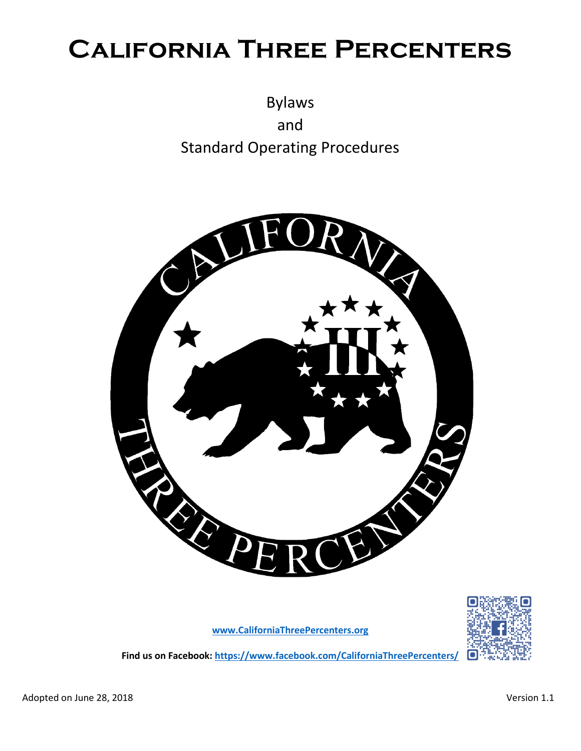# **California Three Percenters**

Bylaws and Standard Operating Procedures



**[www.CaliforniaThreePercenters.org](http://www.californiathreepercenters.org/)**



**Find us on Facebook[: https://www.facebook.com/CaliforniaThreePercenters/](https://www.facebook.com/CaliforniaThreePercenters/)**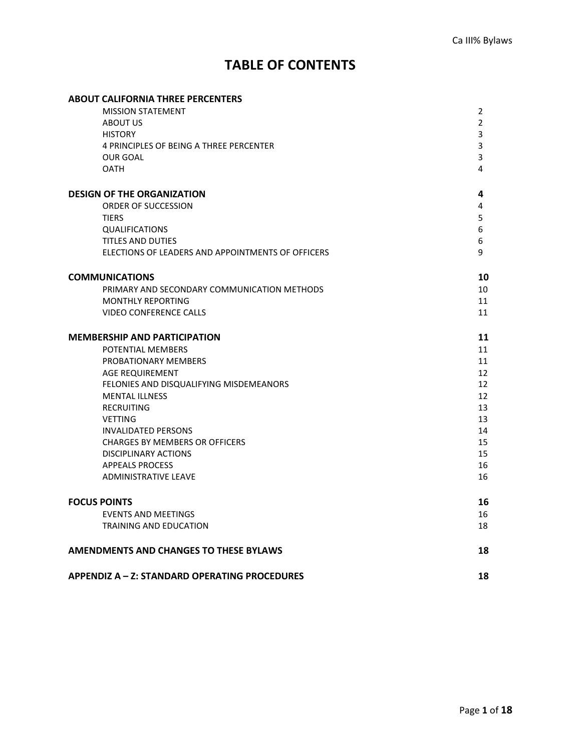## **TABLE OF CONTENTS**

# **ABOUT CALIFORNIA THREE PERCENTERS** MISSION STATEMENT 2 ABOUT US 22 ABOUT US 22 ABOUT US 22 ABOUT US 22 ABOUT US 22 ABOUT US 22 ABOUT US 22 ABOUT US 22 ABOUT US 22 ABOUT US HISTORY 3 4 PRINCIPLES OF BEING A THREE PERCENTER 3 OUR GOAL 2008 AND THE SAME RESEARCH CHARGES AND THE SAME RESEARCH CHARGES AND THE SAME RESEARCH CHARGES AND THE OATH 4 **DESIGN OF THE ORGANIZATION 4** ORDER OF SUCCESSION 4 TIERS 5 QUALIFICATIONS 6 TITLES AND DUTIES 6 6 ELECTIONS OF LEADERS AND APPOINTMENTS OF OFFICERS 9 **COMMUNICATIONS 10** PRIMARY AND SECONDARY COMMUNICATION METHODS 10 10 MONTHLY REPORTING 11 VIDEO CONFERENCE CALLS **11 MEMBERSHIP AND PARTICIPATION 11**

|                     | POTENTIAL MEMBERS                       | 11 |
|---------------------|-----------------------------------------|----|
|                     | PROBATIONARY MEMBERS                    | 11 |
|                     | AGE REQUIREMENT                         | 12 |
|                     | FELONIES AND DISQUALIFYING MISDEMEANORS | 12 |
|                     | <b>MENTAL ILLNESS</b>                   | 12 |
|                     | RECRUITING                              | 13 |
|                     | <b>VETTING</b>                          | 13 |
|                     | <b>INVALIDATED PERSONS</b>              | 14 |
|                     | <b>CHARGES BY MEMBERS OR OFFICERS</b>   | 15 |
|                     | DISCIPLINARY ACTIONS                    | 15 |
|                     | <b>APPEALS PROCESS</b>                  | 16 |
|                     | <b>ADMINISTRATIVE LEAVE</b>             | 16 |
| <b>FOCUS POINTS</b> |                                         | 16 |
|                     | <b>EVENTS AND MEETINGS</b>              | 16 |
|                     | TRAINING AND EDUCATION                  | 18 |
|                     |                                         |    |

## **APPENDIZ A – Z: STANDARD OPERATING PROCEDURES 18**

**AMENDMENTS AND CHANGES TO THESE BYLAWS 18**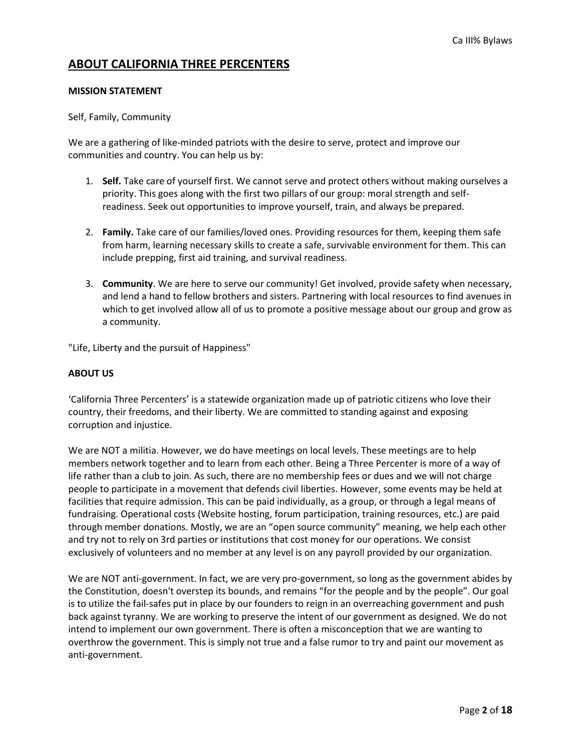## **ABOUT CALIFORNIA THREE PERCENTERS**

#### **MISSION STATEMENT**

#### Self, Family, Community

We are a gathering of like-minded patriots with the desire to serve, protect and improve our communities and country. You can help us by:

- 1. **Self.** Take care of yourself first. We cannot serve and protect others without making ourselves a priority. This goes along with the first two pillars of our group: moral strength and selfreadiness. Seek out opportunities to improve yourself, train, and always be prepared.
- 2. **Family.** Take care of our families/loved ones. Providing resources for them, keeping them safe from harm, learning necessary skills to create a safe, survivable environment for them. This can include prepping, first aid training, and survival readiness.
- 3. **Community**. We are here to serve our community! Get involved, provide safety when necessary, and lend a hand to fellow brothers and sisters. Partnering with local resources to find avenues in which to get involved allow all of us to promote a positive message about our group and grow as a community.

"Life, Liberty and the pursuit of Happiness"

#### **ABOUT US**

'California Three Percenters' is a statewide organization made up of patriotic citizens who love their country, their freedoms, and their liberty. We are committed to standing against and exposing corruption and injustice.

We are NOT a militia. However, we do have meetings on local levels. These meetings are to help members network together and to learn from each other. Being a Three Percenter is more of a way of life rather than a club to join. As such, there are no membership fees or dues and we will not charge people to participate in a movement that defends civil liberties. However, some events may be held at facilities that require admission. This can be paid individually, as a group, or through a legal means of fundraising. Operational costs (Website hosting, forum participation, training resources, etc.) are paid through member donations. Mostly, we are an "open source community" meaning, we help each other and try not to rely on 3rd parties or institutions that cost money for our operations. We consist exclusively of volunteers and no member at any level is on any payroll provided by our organization.

We are NOT anti-government. In fact, we are very pro-government, so long as the government abides by the Constitution, doesn't overstep its bounds, and remains "for the people and by the people". Our goal is to utilize the fail-safes put in place by our founders to reign in an overreaching government and push back against tyranny. We are working to preserve the intent of our government as designed. We do not intend to implement our own government. There is often a misconception that we are wanting to overthrow the government. This is simply not true and a false rumor to try and paint our movement as anti-government.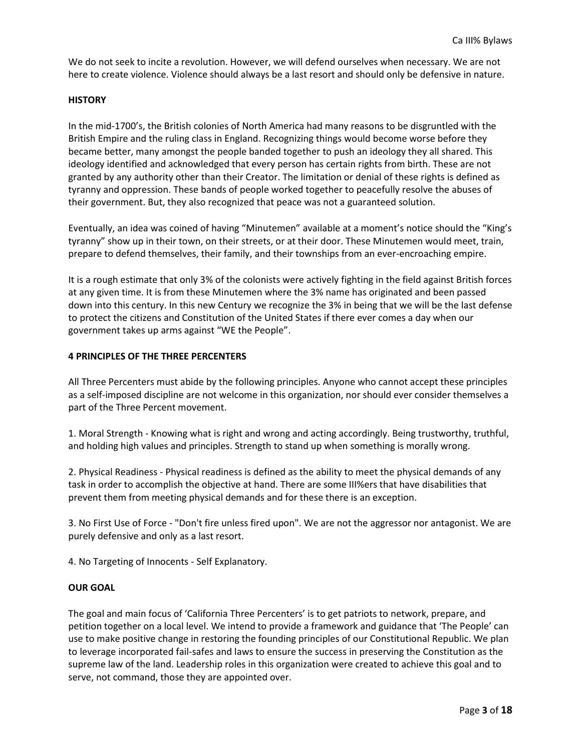We do not seek to incite a revolution. However, we will defend ourselves when necessary. We are not here to create violence. Violence should always be a last resort and should only be defensive in nature.

#### **HISTORY**

In the mid-1700's, the British colonies of North America had many reasons to be disgruntled with the British Empire and the ruling class in England. Recognizing things would become worse before they became better, many amongst the people banded together to push an ideology they all shared. This ideology identified and acknowledged that every person has certain rights from birth. These are not granted by any authority other than their Creator. The limitation or denial of these rights is defined as tyranny and oppression. These bands of people worked together to peacefully resolve the abuses of their government. But, they also recognized that peace was not a guaranteed solution.

Eventually, an idea was coined of having "Minutemen" available at a moment's notice should the "King's tyranny" show up in their town, on their streets, or at their door. These Minutemen would meet, train, prepare to defend themselves, their family, and their townships from an ever-encroaching empire.

It is a rough estimate that only 3% of the colonists were actively fighting in the field against British forces at any given time. It is from these Minutemen where the 3% name has originated and been passed down into this century. In this new Century we recognize the 3% in being that we will be the last defense to protect the citizens and Constitution of the United States if there ever comes a day when our government takes up arms against "WE the People".

#### **4 PRINCIPLES OF THE THREE PERCENTERS**

All Three Percenters must abide by the following principles. Anyone who cannot accept these principles as a self-imposed discipline are not welcome in this organization, nor should ever consider themselves a part of the Three Percent movement.

1. Moral Strength - Knowing what is right and wrong and acting accordingly. Being trustworthy, truthful, and holding high values and principles. Strength to stand up when something is morally wrong.

2. Physical Readiness - Physical readiness is defined as the ability to meet the physical demands of any task in order to accomplish the objective at hand. There are some III%ers that have disabilities that prevent them from meeting physical demands and for these there is an exception.

3. No First Use of Force - "Don't fire unless fired upon". We are not the aggressor nor antagonist. We are purely defensive and only as a last resort.

4. No Targeting of Innocents - Self Explanatory.

#### **OUR GOAL**

The goal and main focus of 'California Three Percenters' is to get patriots to network, prepare, and petition together on a local level. We intend to provide a framework and guidance that 'The People' can use to make positive change in restoring the founding principles of our Constitutional Republic. We plan to leverage incorporated fail-safes and laws to ensure the success in preserving the Constitution as the supreme law of the land. Leadership roles in this organization were created to achieve this goal and to serve, not command, those they are appointed over.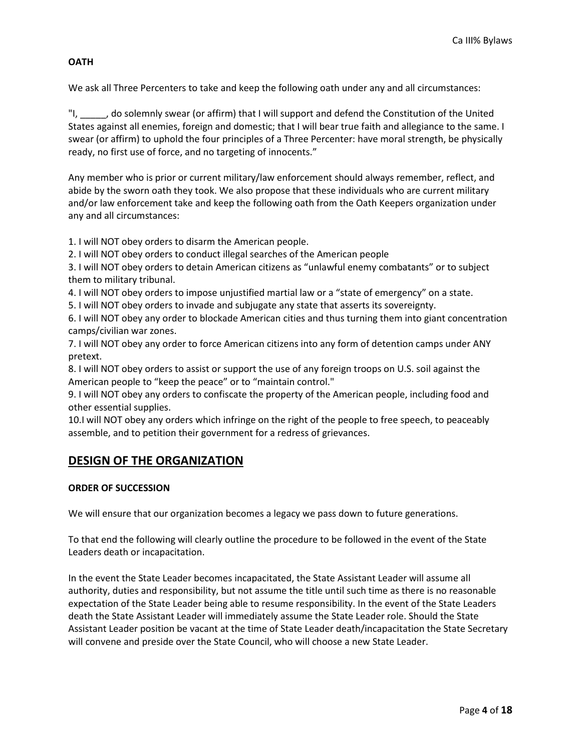#### **OATH**

We ask all Three Percenters to take and keep the following oath under any and all circumstances:

"I, \_\_\_\_\_, do solemnly swear (or affirm) that I will support and defend the Constitution of the United States against all enemies, foreign and domestic; that I will bear true faith and allegiance to the same. I swear (or affirm) to uphold the four principles of a Three Percenter: have moral strength, be physically ready, no first use of force, and no targeting of innocents."

Any member who is prior or current military/law enforcement should always remember, reflect, and abide by the sworn oath they took. We also propose that these individuals who are current military and/or law enforcement take and keep the following oath from the Oath Keepers organization under any and all circumstances:

1. I will NOT obey orders to disarm the American people.

2. I will NOT obey orders to conduct illegal searches of the American people

3. I will NOT obey orders to detain American citizens as "unlawful enemy combatants" or to subject them to military tribunal.

4. I will NOT obey orders to impose unjustified martial law or a "state of emergency" on a state.

5. I will NOT obey orders to invade and subjugate any state that asserts its sovereignty.

6. I will NOT obey any order to blockade American cities and thus turning them into giant concentration camps/civilian war zones.

7. I will NOT obey any order to force American citizens into any form of detention camps under ANY pretext.

8. I will NOT obey orders to assist or support the use of any foreign troops on U.S. soil against the American people to "keep the peace" or to "maintain control."

9. I will NOT obey any orders to confiscate the property of the American people, including food and other essential supplies.

10.I will NOT obey any orders which infringe on the right of the people to free speech, to peaceably assemble, and to petition their government for a redress of grievances.

## **DESIGN OF THE ORGANIZATION**

#### **ORDER OF SUCCESSION**

We will ensure that our organization becomes a legacy we pass down to future generations.

To that end the following will clearly outline the procedure to be followed in the event of the State Leaders death or incapacitation.

In the event the State Leader becomes incapacitated, the State Assistant Leader will assume all authority, duties and responsibility, but not assume the title until such time as there is no reasonable expectation of the State Leader being able to resume responsibility. In the event of the State Leaders death the State Assistant Leader will immediately assume the State Leader role. Should the State Assistant Leader position be vacant at the time of State Leader death/incapacitation the State Secretary will convene and preside over the State Council, who will choose a new State Leader.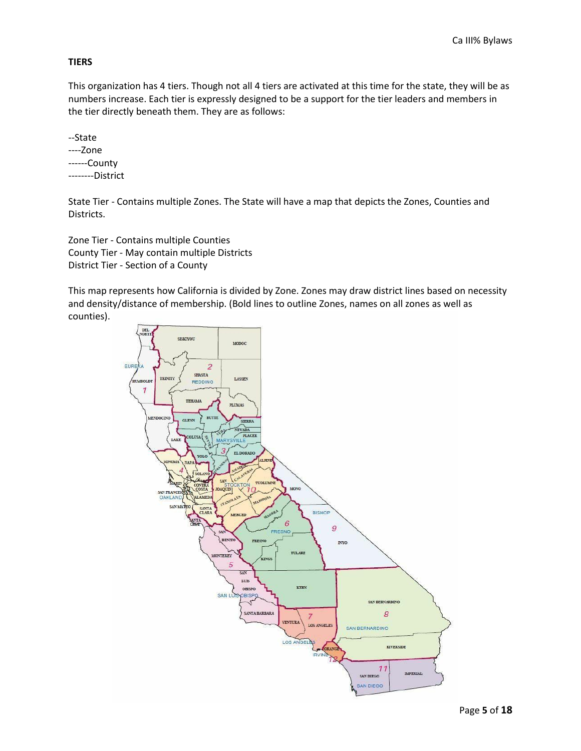#### **TIERS**

This organization has 4 tiers. Though not all 4 tiers are activated at this time for the state, they will be as numbers increase. Each tier is expressly designed to be a support for the tier leaders and members in the tier directly beneath them. They are as follows:

--State ----Zone ------County --------District

State Tier - Contains multiple Zones. The State will have a map that depicts the Zones, Counties and Districts.

Zone Tier - Contains multiple Counties County Tier - May contain multiple Districts District Tier - Section of a County

This map represents how California is divided by Zone. Zones may draw district lines based on necessity and density/distance of membership. (Bold lines to outline Zones, names on all zones as well as counties).

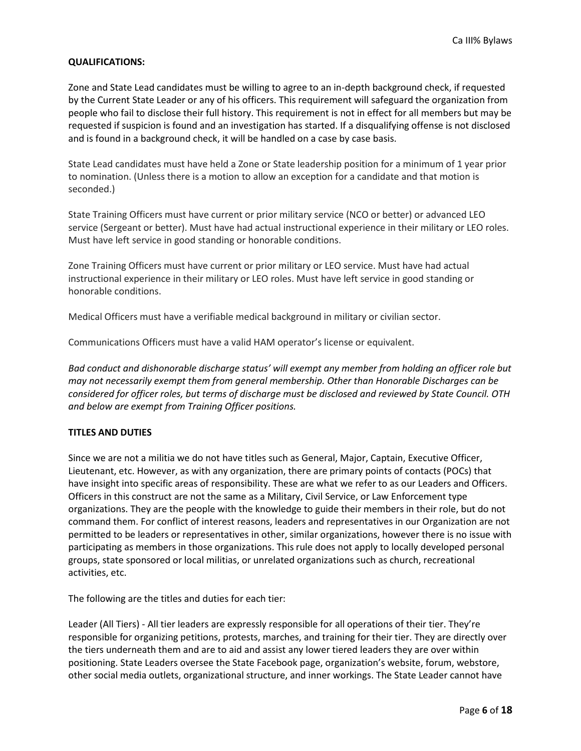#### **QUALIFICATIONS:**

Zone and State Lead candidates must be willing to agree to an in-depth background check, if requested by the Current State Leader or any of his officers. This requirement will safeguard the organization from people who fail to disclose their full history. This requirement is not in effect for all members but may be requested if suspicion is found and an investigation has started. If a disqualifying offense is not disclosed and is found in a background check, it will be handled on a case by case basis.

State Lead candidates must have held a Zone or State leadership position for a minimum of 1 year prior to nomination. (Unless there is a motion to allow an exception for a candidate and that motion is seconded.)

State Training Officers must have current or prior military service (NCO or better) or advanced LEO service (Sergeant or better). Must have had actual instructional experience in their military or LEO roles. Must have left service in good standing or honorable conditions.

Zone Training Officers must have current or prior military or LEO service. Must have had actual instructional experience in their military or LEO roles. Must have left service in good standing or honorable conditions.

Medical Officers must have a verifiable medical background in military or civilian sector.

Communications Officers must have a valid HAM operator's license or equivalent.

*Bad conduct and dishonorable discharge status' will exempt any member from holding an officer role but may not necessarily exempt them from general membership. Other than Honorable Discharges can be considered for officer roles, but terms of discharge must be disclosed and reviewed by State Council. OTH and below are exempt from Training Officer positions.*

#### **TITLES AND DUTIES**

Since we are not a militia we do not have titles such as General, Major, Captain, Executive Officer, Lieutenant, etc. However, as with any organization, there are primary points of contacts (POCs) that have insight into specific areas of responsibility. These are what we refer to as our Leaders and Officers. Officers in this construct are not the same as a Military, Civil Service, or Law Enforcement type organizations. They are the people with the knowledge to guide their members in their role, but do not command them. For conflict of interest reasons, leaders and representatives in our Organization are not permitted to be leaders or representatives in other, similar organizations, however there is no issue with participating as members in those organizations. This rule does not apply to locally developed personal groups, state sponsored or local militias, or unrelated organizations such as church, recreational activities, etc.

The following are the titles and duties for each tier:

Leader (All Tiers) - All tier leaders are expressly responsible for all operations of their tier. They're responsible for organizing petitions, protests, marches, and training for their tier. They are directly over the tiers underneath them and are to aid and assist any lower tiered leaders they are over within positioning. State Leaders oversee the State Facebook page, organization's website, forum, webstore, other social media outlets, organizational structure, and inner workings. The State Leader cannot have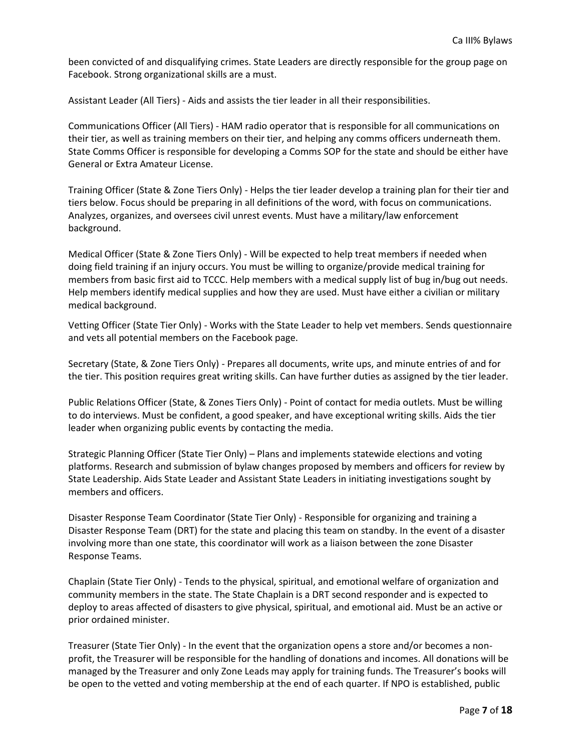been convicted of and disqualifying crimes. State Leaders are directly responsible for the group page on Facebook. Strong organizational skills are a must.

Assistant Leader (All Tiers) - Aids and assists the tier leader in all their responsibilities.

Communications Officer (All Tiers) - HAM radio operator that is responsible for all communications on their tier, as well as training members on their tier, and helping any comms officers underneath them. State Comms Officer is responsible for developing a Comms SOP for the state and should be either have General or Extra Amateur License.

Training Officer (State & Zone Tiers Only) - Helps the tier leader develop a training plan for their tier and tiers below. Focus should be preparing in all definitions of the word, with focus on communications. Analyzes, organizes, and oversees civil unrest events. Must have a military/law enforcement background.

Medical Officer (State & Zone Tiers Only) - Will be expected to help treat members if needed when doing field training if an injury occurs. You must be willing to organize/provide medical training for members from basic first aid to TCCC. Help members with a medical supply list of bug in/bug out needs. Help members identify medical supplies and how they are used. Must have either a civilian or military medical background.

Vetting Officer (State Tier Only) - Works with the State Leader to help vet members. Sends questionnaire and vets all potential members on the Facebook page.

Secretary (State, & Zone Tiers Only) - Prepares all documents, write ups, and minute entries of and for the tier. This position requires great writing skills. Can have further duties as assigned by the tier leader.

Public Relations Officer (State, & Zones Tiers Only) - Point of contact for media outlets. Must be willing to do interviews. Must be confident, a good speaker, and have exceptional writing skills. Aids the tier leader when organizing public events by contacting the media.

Strategic Planning Officer (State Tier Only) – Plans and implements statewide elections and voting platforms. Research and submission of bylaw changes proposed by members and officers for review by State Leadership. Aids State Leader and Assistant State Leaders in initiating investigations sought by members and officers.

Disaster Response Team Coordinator (State Tier Only) - Responsible for organizing and training a Disaster Response Team (DRT) for the state and placing this team on standby. In the event of a disaster involving more than one state, this coordinator will work as a liaison between the zone Disaster Response Teams.

Chaplain (State Tier Only) - Tends to the physical, spiritual, and emotional welfare of organization and community members in the state. The State Chaplain is a DRT second responder and is expected to deploy to areas affected of disasters to give physical, spiritual, and emotional aid. Must be an active or prior ordained minister.

Treasurer (State Tier Only) - In the event that the organization opens a store and/or becomes a nonprofit, the Treasurer will be responsible for the handling of donations and incomes. All donations will be managed by the Treasurer and only Zone Leads may apply for training funds. The Treasurer's books will be open to the vetted and voting membership at the end of each quarter. If NPO is established, public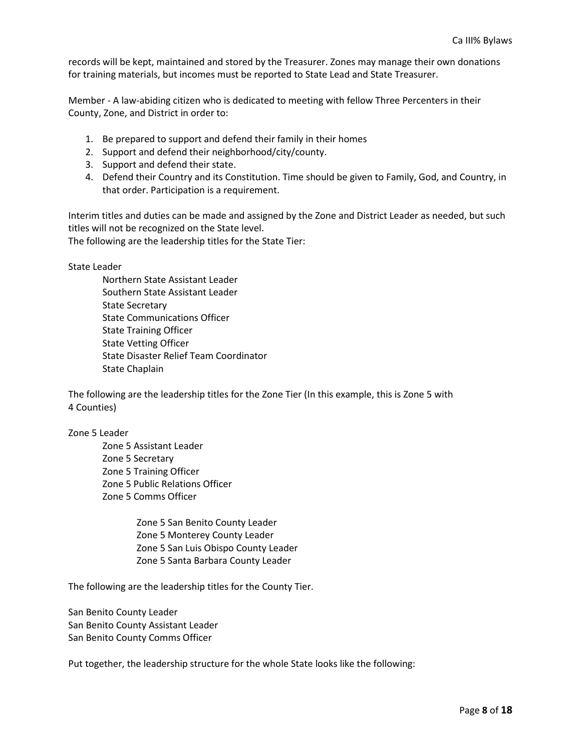records will be kept, maintained and stored by the Treasurer. Zones may manage their own donations for training materials, but incomes must be reported to State Lead and State Treasurer.

Member - A law-abiding citizen who is dedicated to meeting with fellow Three Percenters in their County, Zone, and District in order to:

- 1. Be prepared to support and defend their family in their homes
- 2. Support and defend their neighborhood/city/county.
- 3. Support and defend their state.
- 4. Defend their Country and its Constitution. Time should be given to Family, God, and Country, in that order. Participation is a requirement.

Interim titles and duties can be made and assigned by the Zone and District Leader as needed, but such titles will not be recognized on the State level.

The following are the leadership titles for the State Tier:

State Leader

Northern State Assistant Leader Southern State Assistant Leader State Secretary State Communications Officer State Training Officer State Vetting Officer State Disaster Relief Team Coordinator State Chaplain

The following are the leadership titles for the Zone Tier (In this example, this is Zone 5 with 4 Counties)

Zone 5 Leader

Zone 5 Assistant Leader Zone 5 Secretary Zone 5 Training Officer Zone 5 Public Relations Officer Zone 5 Comms Officer

> Zone 5 San Benito County Leader Zone 5 Monterey County Leader Zone 5 San Luis Obispo County Leader Zone 5 Santa Barbara County Leader

The following are the leadership titles for the County Tier.

San Benito County Leader San Benito County Assistant Leader San Benito County Comms Officer

Put together, the leadership structure for the whole State looks like the following: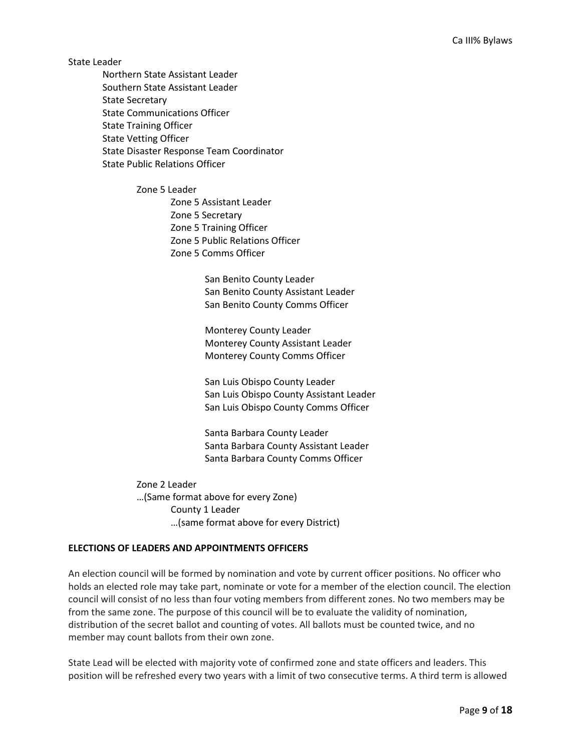State Leader

Northern State Assistant Leader Southern State Assistant Leader State Secretary State Communications Officer State Training Officer State Vetting Officer State Disaster Response Team Coordinator State Public Relations Officer

> Zone 5 Leader Zone 5 Assistant Leader Zone 5 Secretary Zone 5 Training Officer Zone 5 Public Relations Officer Zone 5 Comms Officer

> > San Benito County Leader San Benito County Assistant Leader San Benito County Comms Officer

Monterey County Leader Monterey County Assistant Leader Monterey County Comms Officer

San Luis Obispo County Leader San Luis Obispo County Assistant Leader San Luis Obispo County Comms Officer

Santa Barbara County Leader Santa Barbara County Assistant Leader Santa Barbara County Comms Officer

Zone 2 Leader …(Same format above for every Zone) County 1 Leader …(same format above for every District)

#### **ELECTIONS OF LEADERS AND APPOINTMENTS OFFICERS**

An election council will be formed by nomination and vote by current officer positions. No officer who holds an elected role may take part, nominate or vote for a member of the election council. The election council will consist of no less than four voting members from different zones. No two members may be from the same zone. The purpose of this council will be to evaluate the validity of nomination, distribution of the secret ballot and counting of votes. All ballots must be counted twice, and no member may count ballots from their own zone.

State Lead will be elected with majority vote of confirmed zone and state officers and leaders. This position will be refreshed every two years with a limit of two consecutive terms. A third term is allowed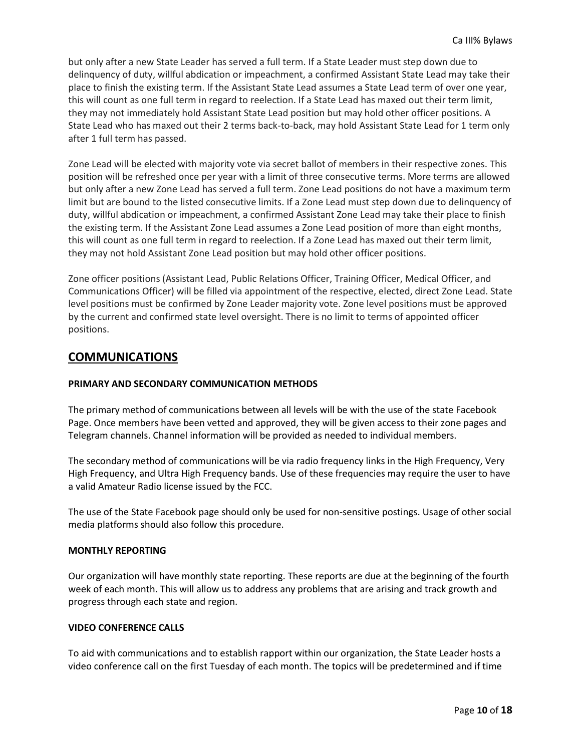but only after a new State Leader has served a full term. If a State Leader must step down due to delinquency of duty, willful abdication or impeachment, a confirmed Assistant State Lead may take their place to finish the existing term. If the Assistant State Lead assumes a State Lead term of over one year, this will count as one full term in regard to reelection. If a State Lead has maxed out their term limit, they may not immediately hold Assistant State Lead position but may hold other officer positions. A State Lead who has maxed out their 2 terms back-to-back, may hold Assistant State Lead for 1 term only after 1 full term has passed.

Zone Lead will be elected with majority vote via secret ballot of members in their respective zones. This position will be refreshed once per year with a limit of three consecutive terms. More terms are allowed but only after a new Zone Lead has served a full term. Zone Lead positions do not have a maximum term limit but are bound to the listed consecutive limits. If a Zone Lead must step down due to delinquency of duty, willful abdication or impeachment, a confirmed Assistant Zone Lead may take their place to finish the existing term. If the Assistant Zone Lead assumes a Zone Lead position of more than eight months, this will count as one full term in regard to reelection. If a Zone Lead has maxed out their term limit, they may not hold Assistant Zone Lead position but may hold other officer positions.

Zone officer positions (Assistant Lead, Public Relations Officer, Training Officer, Medical Officer, and Communications Officer) will be filled via appointment of the respective, elected, direct Zone Lead. State level positions must be confirmed by Zone Leader majority vote. Zone level positions must be approved by the current and confirmed state level oversight. There is no limit to terms of appointed officer positions.

## **COMMUNICATIONS**

#### **PRIMARY AND SECONDARY COMMUNICATION METHODS**

The primary method of communications between all levels will be with the use of the state Facebook Page. Once members have been vetted and approved, they will be given access to their zone pages and Telegram channels. Channel information will be provided as needed to individual members.

The secondary method of communications will be via radio frequency links in the High Frequency, Very High Frequency, and Ultra High Frequency bands. Use of these frequencies may require the user to have a valid Amateur Radio license issued by the FCC.

The use of the State Facebook page should only be used for non-sensitive postings. Usage of other social media platforms should also follow this procedure.

#### **MONTHLY REPORTING**

Our organization will have monthly state reporting. These reports are due at the beginning of the fourth week of each month. This will allow us to address any problems that are arising and track growth and progress through each state and region.

#### **VIDEO CONFERENCE CALLS**

To aid with communications and to establish rapport within our organization, the State Leader hosts a video conference call on the first Tuesday of each month. The topics will be predetermined and if time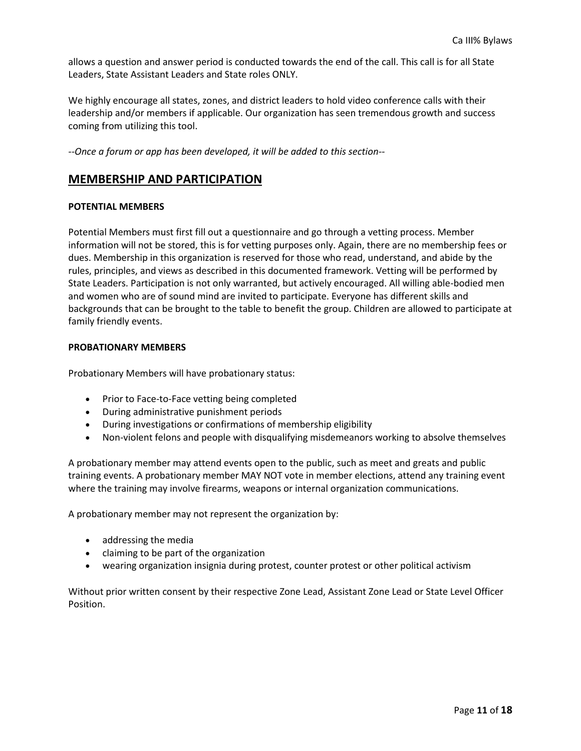allows a question and answer period is conducted towards the end of the call. This call is for all State Leaders, State Assistant Leaders and State roles ONLY.

We highly encourage all states, zones, and district leaders to hold video conference calls with their leadership and/or members if applicable. Our organization has seen tremendous growth and success coming from utilizing this tool.

*--Once a forum or app has been developed, it will be added to this section--*

## **MEMBERSHIP AND PARTICIPATION**

#### **POTENTIAL MEMBERS**

Potential Members must first fill out a questionnaire and go through a vetting process. Member information will not be stored, this is for vetting purposes only. Again, there are no membership fees or dues. Membership in this organization is reserved for those who read, understand, and abide by the rules, principles, and views as described in this documented framework. Vetting will be performed by State Leaders. Participation is not only warranted, but actively encouraged. All willing able-bodied men and women who are of sound mind are invited to participate. Everyone has different skills and backgrounds that can be brought to the table to benefit the group. Children are allowed to participate at family friendly events.

#### **PROBATIONARY MEMBERS**

Probationary Members will have probationary status:

- Prior to Face-to-Face vetting being completed
- During administrative punishment periods
- During investigations or confirmations of membership eligibility
- Non-violent felons and people with disqualifying misdemeanors working to absolve themselves

A probationary member may attend events open to the public, such as meet and greats and public training events. A probationary member MAY NOT vote in member elections, attend any training event where the training may involve firearms, weapons or internal organization communications.

A probationary member may not represent the organization by:

- addressing the media
- claiming to be part of the organization
- wearing organization insignia during protest, counter protest or other political activism

Without prior written consent by their respective Zone Lead, Assistant Zone Lead or State Level Officer Position.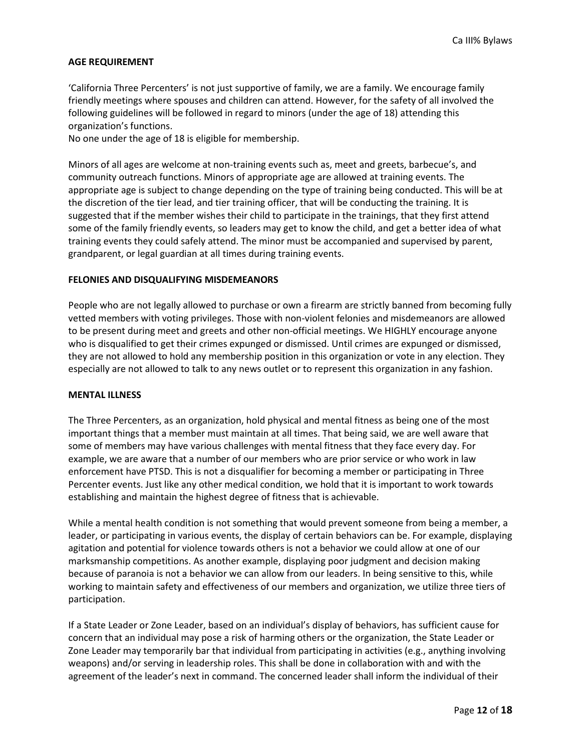#### **AGE REQUIREMENT**

'California Three Percenters' is not just supportive of family, we are a family. We encourage family friendly meetings where spouses and children can attend. However, for the safety of all involved the following guidelines will be followed in regard to minors (under the age of 18) attending this organization's functions.

No one under the age of 18 is eligible for membership.

Minors of all ages are welcome at non-training events such as, meet and greets, barbecue's, and community outreach functions. Minors of appropriate age are allowed at training events. The appropriate age is subject to change depending on the type of training being conducted. This will be at the discretion of the tier lead, and tier training officer, that will be conducting the training. It is suggested that if the member wishes their child to participate in the trainings, that they first attend some of the family friendly events, so leaders may get to know the child, and get a better idea of what training events they could safely attend. The minor must be accompanied and supervised by parent, grandparent, or legal guardian at all times during training events.

#### **FELONIES AND DISQUALIFYING MISDEMEANORS**

People who are not legally allowed to purchase or own a firearm are strictly banned from becoming fully vetted members with voting privileges. Those with non-violent felonies and misdemeanors are allowed to be present during meet and greets and other non-official meetings. We HIGHLY encourage anyone who is disqualified to get their crimes expunged or dismissed. Until crimes are expunged or dismissed, they are not allowed to hold any membership position in this organization or vote in any election. They especially are not allowed to talk to any news outlet or to represent this organization in any fashion.

#### **MENTAL ILLNESS**

The Three Percenters, as an organization, hold physical and mental fitness as being one of the most important things that a member must maintain at all times. That being said, we are well aware that some of members may have various challenges with mental fitness that they face every day. For example, we are aware that a number of our members who are prior service or who work in law enforcement have PTSD. This is not a disqualifier for becoming a member or participating in Three Percenter events. Just like any other medical condition, we hold that it is important to work towards establishing and maintain the highest degree of fitness that is achievable.

While a mental health condition is not something that would prevent someone from being a member, a leader, or participating in various events, the display of certain behaviors can be. For example, displaying agitation and potential for violence towards others is not a behavior we could allow at one of our marksmanship competitions. As another example, displaying poor judgment and decision making because of paranoia is not a behavior we can allow from our leaders. In being sensitive to this, while working to maintain safety and effectiveness of our members and organization, we utilize three tiers of participation.

If a State Leader or Zone Leader, based on an individual's display of behaviors, has sufficient cause for concern that an individual may pose a risk of harming others or the organization, the State Leader or Zone Leader may temporarily bar that individual from participating in activities (e.g., anything involving weapons) and/or serving in leadership roles. This shall be done in collaboration with and with the agreement of the leader's next in command. The concerned leader shall inform the individual of their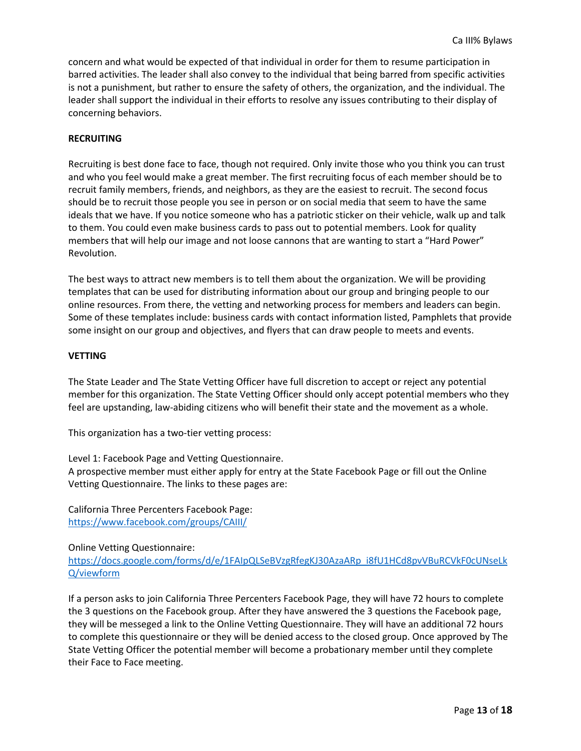concern and what would be expected of that individual in order for them to resume participation in barred activities. The leader shall also convey to the individual that being barred from specific activities is not a punishment, but rather to ensure the safety of others, the organization, and the individual. The leader shall support the individual in their efforts to resolve any issues contributing to their display of concerning behaviors.

#### **RECRUITING**

Recruiting is best done face to face, though not required. Only invite those who you think you can trust and who you feel would make a great member. The first recruiting focus of each member should be to recruit family members, friends, and neighbors, as they are the easiest to recruit. The second focus should be to recruit those people you see in person or on social media that seem to have the same ideals that we have. If you notice someone who has a patriotic sticker on their vehicle, walk up and talk to them. You could even make business cards to pass out to potential members. Look for quality members that will help our image and not loose cannons that are wanting to start a "Hard Power" Revolution.

The best ways to attract new members is to tell them about the organization. We will be providing templates that can be used for distributing information about our group and bringing people to our online resources. From there, the vetting and networking process for members and leaders can begin. Some of these templates include: business cards with contact information listed, Pamphlets that provide some insight on our group and objectives, and flyers that can draw people to meets and events.

#### **VETTING**

The State Leader and The State Vetting Officer have full discretion to accept or reject any potential member for this organization. The State Vetting Officer should only accept potential members who they feel are upstanding, law-abiding citizens who will benefit their state and the movement as a whole.

This organization has a two-tier vetting process:

Level 1: Facebook Page and Vetting Questionnaire. A prospective member must either apply for entry at the State Facebook Page or fill out the Online Vetting Questionnaire. The links to these pages are:

California Three Percenters Facebook Page: <https://www.facebook.com/groups/CAIII/>

Online Vetting Questionnaire:

[https://docs.google.com/forms/d/e/1FAIpQLSeBVzgRfegKJ30AzaARp\\_i8fU1HCd8pvVBuRCVkF0cUNseLk](https://docs.google.com/forms/d/e/1FAIpQLSeBVzgRfegKJ30AzaARp_i8fU1HCd8pvVBuRCVkF0cUNseLkQ/viewform) [Q/viewform](https://docs.google.com/forms/d/e/1FAIpQLSeBVzgRfegKJ30AzaARp_i8fU1HCd8pvVBuRCVkF0cUNseLkQ/viewform)

If a person asks to join California Three Percenters Facebook Page, they will have 72 hours to complete the 3 questions on the Facebook group. After they have answered the 3 questions the Facebook page, they will be messeged a link to the Online Vetting Questionnaire. They will have an additional 72 hours to complete this questionnaire or they will be denied access to the closed group. Once approved by The State Vetting Officer the potential member will become a probationary member until they complete their Face to Face meeting.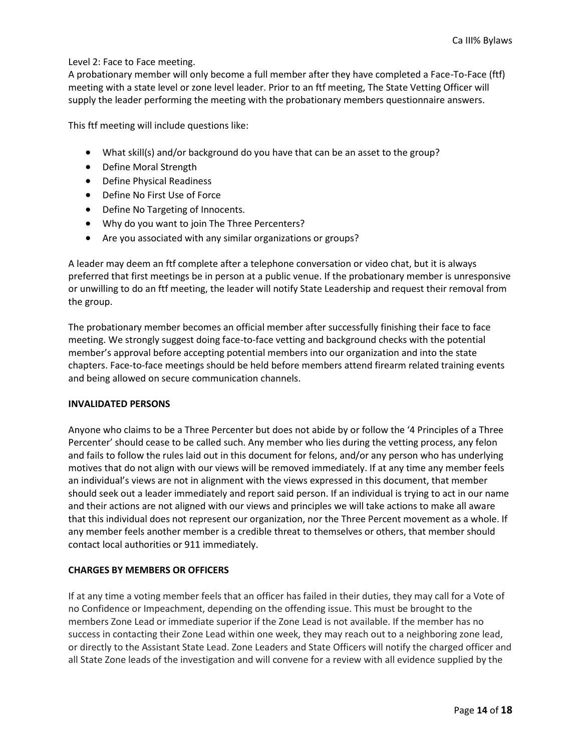#### Level 2: Face to Face meeting.

A probationary member will only become a full member after they have completed a Face-To-Face (ftf) meeting with a state level or zone level leader. Prior to an ftf meeting, The State Vetting Officer will supply the leader performing the meeting with the probationary members questionnaire answers.

This ftf meeting will include questions like:

- What skill(s) and/or background do you have that can be an asset to the group?
- Define Moral Strength
- Define Physical Readiness
- Define No First Use of Force
- Define No Targeting of Innocents.
- Why do you want to join The Three Percenters?
- Are you associated with any similar organizations or groups?

A leader may deem an ftf complete after a telephone conversation or video chat, but it is always preferred that first meetings be in person at a public venue. If the probationary member is unresponsive or unwilling to do an ftf meeting, the leader will notify State Leadership and request their removal from the group.

The probationary member becomes an official member after successfully finishing their face to face meeting. We strongly suggest doing face-to-face vetting and background checks with the potential member's approval before accepting potential members into our organization and into the state chapters. Face-to-face meetings should be held before members attend firearm related training events and being allowed on secure communication channels.

#### **INVALIDATED PERSONS**

Anyone who claims to be a Three Percenter but does not abide by or follow the '4 Principles of a Three Percenter' should cease to be called such. Any member who lies during the vetting process, any felon and fails to follow the rules laid out in this document for felons, and/or any person who has underlying motives that do not align with our views will be removed immediately. If at any time any member feels an individual's views are not in alignment with the views expressed in this document, that member should seek out a leader immediately and report said person. If an individual is trying to act in our name and their actions are not aligned with our views and principles we will take actions to make all aware that this individual does not represent our organization, nor the Three Percent movement as a whole. If any member feels another member is a credible threat to themselves or others, that member should contact local authorities or 911 immediately.

#### **CHARGES BY MEMBERS OR OFFICERS**

If at any time a voting member feels that an officer has failed in their duties, they may call for a Vote of no Confidence or Impeachment, depending on the offending issue. This must be brought to the members Zone Lead or immediate superior if the Zone Lead is not available. If the member has no success in contacting their Zone Lead within one week, they may reach out to a neighboring zone lead, or directly to the Assistant State Lead. Zone Leaders and State Officers will notify the charged officer and all State Zone leads of the investigation and will convene for a review with all evidence supplied by the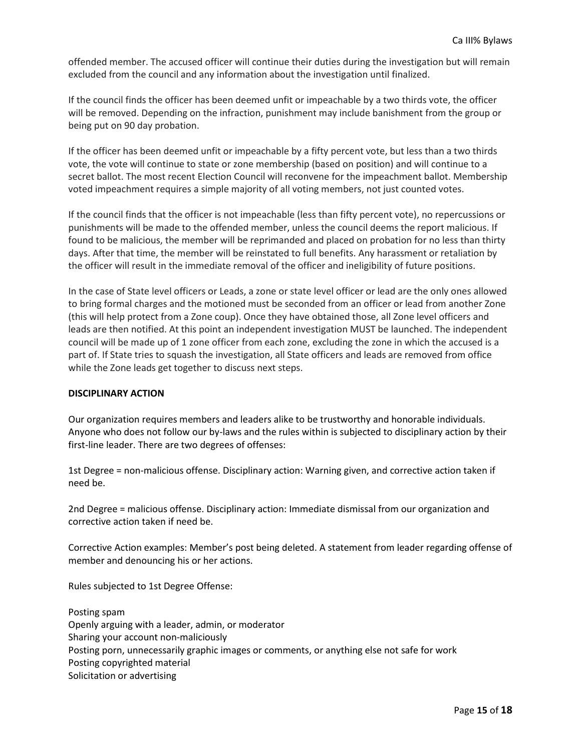offended member. The accused officer will continue their duties during the investigation but will remain excluded from the council and any information about the investigation until finalized.

If the council finds the officer has been deemed unfit or impeachable by a two thirds vote, the officer will be removed. Depending on the infraction, punishment may include banishment from the group or being put on 90 day probation.

If the officer has been deemed unfit or impeachable by a fifty percent vote, but less than a two thirds vote, the vote will continue to state or zone membership (based on position) and will continue to a secret ballot. The most recent Election Council will reconvene for the impeachment ballot. Membership voted impeachment requires a simple majority of all voting members, not just counted votes.

If the council finds that the officer is not impeachable (less than fifty percent vote), no repercussions or punishments will be made to the offended member, unless the council deems the report malicious. If found to be malicious, the member will be reprimanded and placed on probation for no less than thirty days. After that time, the member will be reinstated to full benefits. Any harassment or retaliation by the officer will result in the immediate removal of the officer and ineligibility of future positions.

In the case of State level officers or Leads, a zone or state level officer or lead are the only ones allowed to bring formal charges and the motioned must be seconded from an officer or lead from another Zone (this will help protect from a Zone coup). Once they have obtained those, all Zone level officers and leads are then notified. At this point an independent investigation MUST be launched. The independent council will be made up of 1 zone officer from each zone, excluding the zone in which the accused is a part of. If State tries to squash the investigation, all State officers and leads are removed from office while the Zone leads get together to discuss next steps.

#### **DISCIPLINARY ACTION**

Our organization requires members and leaders alike to be trustworthy and honorable individuals. Anyone who does not follow our by-laws and the rules within is subjected to disciplinary action by their first-line leader. There are two degrees of offenses:

1st Degree = non-malicious offense. Disciplinary action: Warning given, and corrective action taken if need be.

2nd Degree = malicious offense. Disciplinary action: Immediate dismissal from our organization and corrective action taken if need be.

Corrective Action examples: Member's post being deleted. A statement from leader regarding offense of member and denouncing his or her actions.

Rules subjected to 1st Degree Offense:

Posting spam Openly arguing with a leader, admin, or moderator Sharing your account non-maliciously Posting porn, unnecessarily graphic images or comments, or anything else not safe for work Posting copyrighted material Solicitation or advertising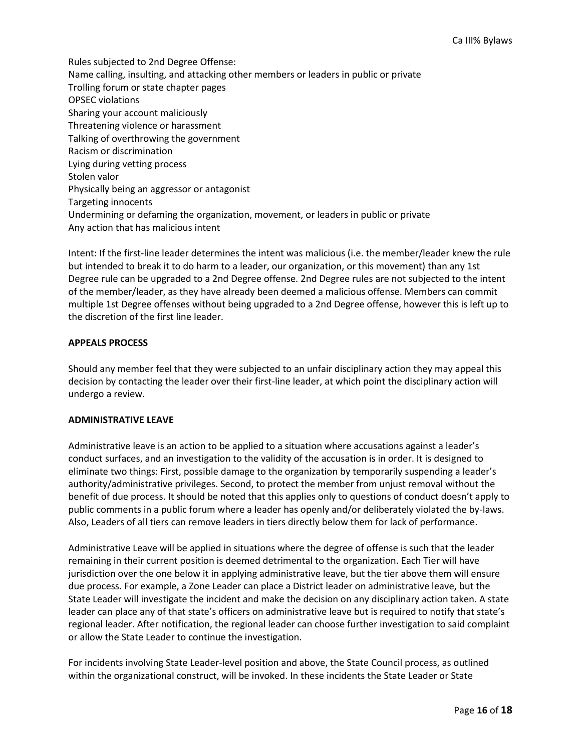Rules subjected to 2nd Degree Offense: Name calling, insulting, and attacking other members or leaders in public or private Trolling forum or state chapter pages OPSEC violations Sharing your account maliciously Threatening violence or harassment Talking of overthrowing the government Racism or discrimination Lying during vetting process Stolen valor Physically being an aggressor or antagonist Targeting innocents Undermining or defaming the organization, movement, or leaders in public or private Any action that has malicious intent

Intent: If the first-line leader determines the intent was malicious (i.e. the member/leader knew the rule but intended to break it to do harm to a leader, our organization, or this movement) than any 1st Degree rule can be upgraded to a 2nd Degree offense. 2nd Degree rules are not subjected to the intent of the member/leader, as they have already been deemed a malicious offense. Members can commit multiple 1st Degree offenses without being upgraded to a 2nd Degree offense, however this is left up to the discretion of the first line leader.

#### **APPEALS PROCESS**

Should any member feel that they were subjected to an unfair disciplinary action they may appeal this decision by contacting the leader over their first-line leader, at which point the disciplinary action will undergo a review.

#### **ADMINISTRATIVE LEAVE**

Administrative leave is an action to be applied to a situation where accusations against a leader's conduct surfaces, and an investigation to the validity of the accusation is in order. It is designed to eliminate two things: First, possible damage to the organization by temporarily suspending a leader's authority/administrative privileges. Second, to protect the member from unjust removal without the benefit of due process. It should be noted that this applies only to questions of conduct doesn't apply to public comments in a public forum where a leader has openly and/or deliberately violated the by-laws. Also, Leaders of all tiers can remove leaders in tiers directly below them for lack of performance.

Administrative Leave will be applied in situations where the degree of offense is such that the leader remaining in their current position is deemed detrimental to the organization. Each Tier will have jurisdiction over the one below it in applying administrative leave, but the tier above them will ensure due process. For example, a Zone Leader can place a District leader on administrative leave, but the State Leader will investigate the incident and make the decision on any disciplinary action taken. A state leader can place any of that state's officers on administrative leave but is required to notify that state's regional leader. After notification, the regional leader can choose further investigation to said complaint or allow the State Leader to continue the investigation.

For incidents involving State Leader-level position and above, the State Council process, as outlined within the organizational construct, will be invoked. In these incidents the State Leader or State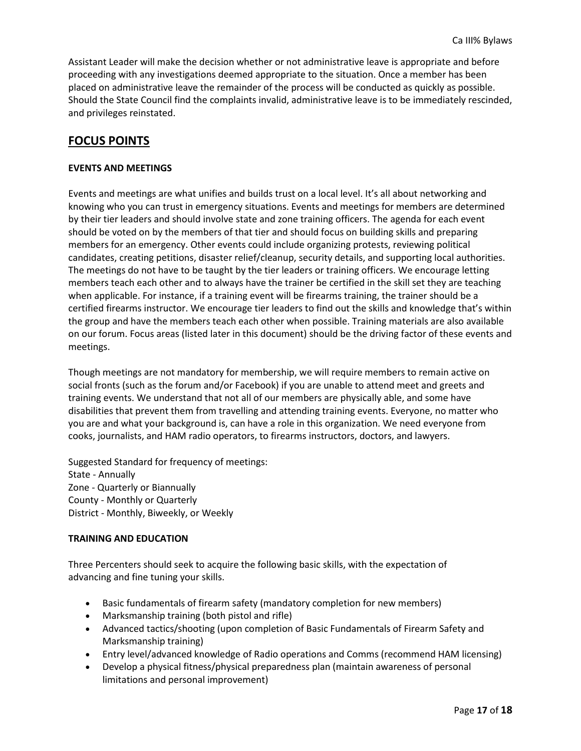Assistant Leader will make the decision whether or not administrative leave is appropriate and before proceeding with any investigations deemed appropriate to the situation. Once a member has been placed on administrative leave the remainder of the process will be conducted as quickly as possible. Should the State Council find the complaints invalid, administrative leave is to be immediately rescinded, and privileges reinstated.

## **FOCUS POINTS**

#### **EVENTS AND MEETINGS**

Events and meetings are what unifies and builds trust on a local level. It's all about networking and knowing who you can trust in emergency situations. Events and meetings for members are determined by their tier leaders and should involve state and zone training officers. The agenda for each event should be voted on by the members of that tier and should focus on building skills and preparing members for an emergency. Other events could include organizing protests, reviewing political candidates, creating petitions, disaster relief/cleanup, security details, and supporting local authorities. The meetings do not have to be taught by the tier leaders or training officers. We encourage letting members teach each other and to always have the trainer be certified in the skill set they are teaching when applicable. For instance, if a training event will be firearms training, the trainer should be a certified firearms instructor. We encourage tier leaders to find out the skills and knowledge that's within the group and have the members teach each other when possible. Training materials are also available on our forum. Focus areas (listed later in this document) should be the driving factor of these events and meetings.

Though meetings are not mandatory for membership, we will require members to remain active on social fronts (such as the forum and/or Facebook) if you are unable to attend meet and greets and training events. We understand that not all of our members are physically able, and some have disabilities that prevent them from travelling and attending training events. Everyone, no matter who you are and what your background is, can have a role in this organization. We need everyone from cooks, journalists, and HAM radio operators, to firearms instructors, doctors, and lawyers.

Suggested Standard for frequency of meetings: State - Annually Zone - Quarterly or Biannually County - Monthly or Quarterly District - Monthly, Biweekly, or Weekly

#### **TRAINING AND EDUCATION**

Three Percenters should seek to acquire the following basic skills, with the expectation of advancing and fine tuning your skills.

- Basic fundamentals of firearm safety (mandatory completion for new members)
- Marksmanship training (both pistol and rifle)
- Advanced tactics/shooting (upon completion of Basic Fundamentals of Firearm Safety and Marksmanship training)
- Entry level/advanced knowledge of Radio operations and Comms (recommend HAM licensing)
- Develop a physical fitness/physical preparedness plan (maintain awareness of personal limitations and personal improvement)